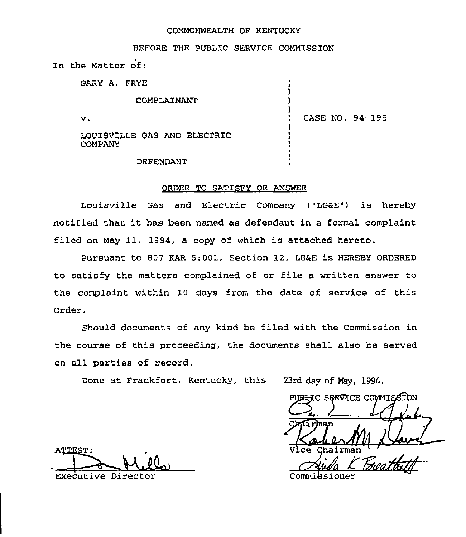## COMMONWEALTH OF KENTUCKY

BEFORE THE PUBLIC SERVICE COMMISSION

In the Matter of:

| GARY A. FRYE                                  |                 |
|-----------------------------------------------|-----------------|
| COMPLAINANT                                   |                 |
| v.                                            | CASE NO. 94-195 |
| LOUISVILLE GAS AND ELECTRIC<br><b>COMPANY</b> |                 |
| <b>DEFENDANT</b>                              |                 |

## ORDER TO SATISFY OR ANSWER

Louisville Gas and Electric Company ("LG6E") is hereby notified that it has been named as defendant in a formal complaint filed on May 11, 1994, a copy of which is attached hereto.

Pursuant to 807 KAR 5:001, Section 12, LG6E is HEREBY ORDERED 'to satisfy the matters complained of or file a written answer to the complaint within 10 days from the date of service of this Order.

Should documents of any kind be filed with the Commission in the course of this proceeding, the documents shall also be served on all parties of record.

Done at Frankfort, Kentucky, this 23rd day of May, 1994

PUBLIC SERVICE COMMISSION Batiman M. Davi Vice Chairma

ATTEST: Executive Director Committee Committee Committee Committee Committee Committee Committee Committee Committee C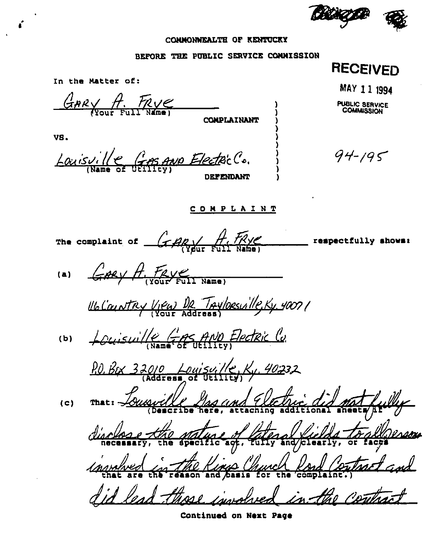

## CONNONWEALTH OF KENTUCKY

## BEFORE THE PUBLIC SERVICE COMMISSION

**RECEIVED** In the Matter of: MAY 11 1994 GARY A. FRYE PUBLIC SERVICE<br>COMMISSION COMPLAINANT VS. Louisville Gros and Electric C.  $94 - 195$ DEPENDANT **COMPLAINT** The complaint of  $G$   $H$   $H$ respectfully shows: GARY A. FRY FULL NAME)  $(a)$ <u>Holaintry View Dr TAYlorsville, Ky</u> 4007/ Louisville GAS AND Electric Co.  $(b)$ P.O. Box 32010 Louisville, Ky. 40232  $(c)$  $\frac{1}{a}$ 

Continued on Next Page